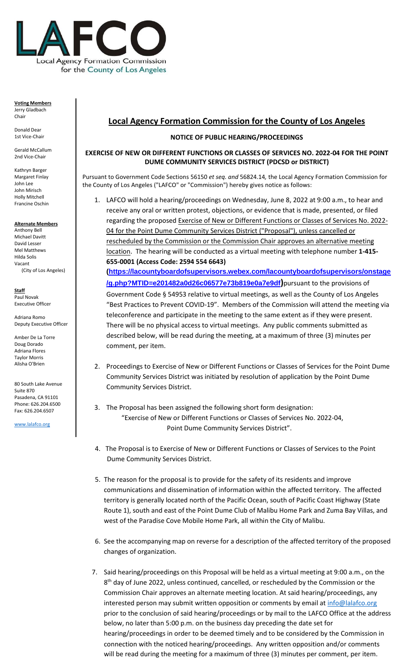

## **Voting Members** Jerry Gladbach Chair

Donald Dear 1st Vice-Chair

Gerald McCallum 2nd Vice-Chair

Kathryn Barger Margaret Finlay John Lee John Mirisch Holly Mitchell Francine Oschin

**Alternate Members** Anthony Bell Michael Davitt David Lesser Mel Matthews Hilda Solis Vacant (City of Los Angeles)

**Staff** Paul Novak Executive Officer

Adriana Romo Deputy Executive Officer

Amber De La Torre Doug Dorado Adriana Flores Taylor Morris Alisha O'Brien

80 South Lake Avenue Suite 870 Pasadena, CA 91101 Phone: 626.204.6500 Fax: 626.204.6507

[www.lalafco.org](http://www.lalafco.org/)

## **Local Agency Formation Commission for the County of Los Angeles**

## **NOTICE OF PUBLIC HEARING/PROCEEDINGS**

## **EXERCISE OF NEW OR DIFFERENT FUNCTIONS OR CLASSES OF SERVICES NO. 2022-04 FOR THE POINT DUME COMMUNITY SERVICES DISTRICT (PDCSD or DISTRICT)**

Pursuant to Government Code Sections 56150 *et seq. and* 56824.14*,* the Local Agency Formation Commission for the County of Los Angeles ("LAFCO" or "Commission") hereby gives notice as follows:

1. LAFCO will hold a hearing/proceedings on Wednesday, June 8, 2022 at 9:00 a.m., to hear and receive any oral or written protest, objections, or evidence that is made, presented, or filed regarding the proposed Exercise of New or Different Functions or Classes of Services No. 2022- 04 for the Point Dume Community Services District ("Proposal"), unless cancelled or rescheduled by the Commission or the Commission Chair approves an alternative meeting location. The hearing will be conducted as a virtual meeting with telephone number **1-415- 655-0001 (Access Code: 2594 554 6643)**

**[\(https://lacountyboardofsupervisors.webex.com/lacountyboardofsupervisors/onstage](https://lacountyboardofsupervisors.webex.com/lacountyboardofsupervisors/onstage/g.php?MTID=e201482a0d26c06577e73b819e0a7e9df) [/g.php?MTID=e201482a0d26c06577e73b819e0a7e9df](https://lacountyboardofsupervisors.webex.com/lacountyboardofsupervisors/onstage/g.php?MTID=e201482a0d26c06577e73b819e0a7e9df))**pursuant to the provisions of Government Code § 54953 relative to virtual meetings, as well as the County of Los Angeles "Best Practices to Prevent COVID-19". Members of the Commission will attend the meeting via teleconference and participate in the meeting to the same extent as if they were present. There will be no physical access to virtual meetings. Any public comments submitted as described below, will be read during the meeting, at a maximum of three (3) minutes per comment, per item.

- 2. Proceedings to Exercise of New or Different Functions or Classes of Services for the Point Dume Community Services District was initiated by resolution of application by the Point Dume Community Services District.
- 3. The Proposal has been assigned the following short form designation: "Exercise of New or Different Functions or Classes of Services No. 2022-04, Point Dume Community Services District".
- 4. The Proposal is to Exercise of New or Different Functions or Classes of Services to the Point Dume Community Services District.
- 5. The reason for the proposal is to provide for the safety of its residents and improve communications and dissemination of information within the affected territory. The affected territory is generally located north of the Pacific Ocean, south of Pacific Coast Highway (State Route 1), south and east of the Point Dume Club of Malibu Home Park and Zuma Bay Villas, and west of the Paradise Cove Mobile Home Park, all within the City of Malibu.
- 6. See the accompanying map on reverse for a description of the affected territory of the proposed changes of organization.
- 7. Said hearing/proceedings on this Proposal will be held as a virtual meeting at 9:00 a.m., on the 8<sup>th</sup> day of June 2022, unless continued, cancelled, or rescheduled by the Commission or the Commission Chair approves an alternate meeting location. At said hearing/proceedings, any interested person may submit written opposition or comments by email a[t info@lalafco.org](mailto:info@lalafco.org) prior to the conclusion of said hearing/proceedings or by mail to the LAFCO Office at the address below, no later than 5:00 p.m. on the business day preceding the date set for hearing/proceedings in order to be deemed timely and to be considered by the Commission in connection with the noticed hearing/proceedings. Any written opposition and/or comments will be read during the meeting for a maximum of three (3) minutes per comment, per item.